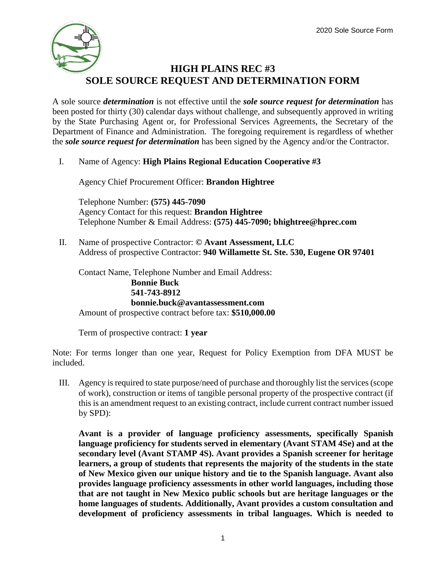# **HIGH PLAINS REC #3 SOLE SOURCE REQUEST AND DETERMINATION FORM**

A sole source *determination* is not effective until the *sole source request for determination* has been posted for thirty (30) calendar days without challenge, and subsequently approved in writing by the State Purchasing Agent or, for Professional Services Agreements, the Secretary of the Department of Finance and Administration. The foregoing requirement is regardless of whether the *sole source request for determination* has been signed by the Agency and/or the Contractor.

I. Name of Agency: **High Plains Regional Education Cooperative #3**

Agency Chief Procurement Officer: **Brandon Hightree**

Telephone Number: **(575) 445-7090** Agency Contact for this request: **Brandon Hightree** Telephone Number & Email Address: **(575) 445-7090; bhightree@hprec.com**

II. Name of prospective Contractor: **© Avant Assessment, LLC** Address of prospective Contractor: **940 Willamette St. Ste. 530, Eugene OR 97401**

Contact Name, Telephone Number and Email Address: **Bonnie Buck 541-743-8912 bonnie.buck@avantassessment.com** Amount of prospective contract before tax: **\$510,000.00**

Term of prospective contract: **1 year**

Note: For terms longer than one year, Request for Policy Exemption from DFA MUST be included.

III. Agency is required to state purpose/need of purchase and thoroughly list the services (scope of work), construction or items of tangible personal property of the prospective contract (if this is an amendment request to an existing contract, include current contract number issued by SPD):

**Avant is a provider of language proficiency assessments, specifically Spanish language proficiency for students served in elementary (Avant STAM 4Se) and at the secondary level (Avant STAMP 4S). Avant provides a Spanish screener for heritage learners, a group of students that represents the majority of the students in the state of New Mexico given our unique history and tie to the Spanish language. Avant also provides language proficiency assessments in other world languages, including those that are not taught in New Mexico public schools but are heritage languages or the home languages of students. Additionally, Avant provides a custom consultation and development of proficiency assessments in tribal languages. Which is needed to**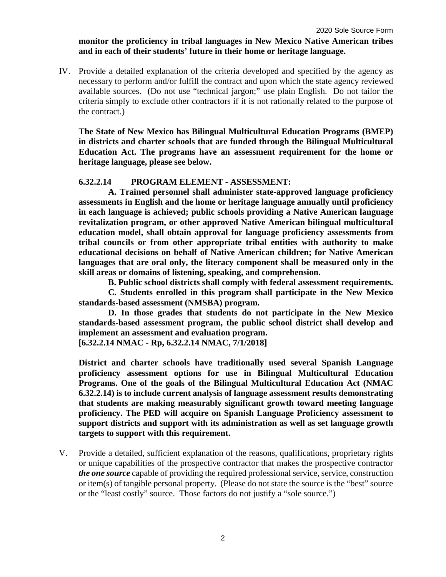#### **monitor the proficiency in tribal languages in New Mexico Native American tribes and in each of their students' future in their home or heritage language.**

IV. Provide a detailed explanation of the criteria developed and specified by the agency as necessary to perform and/or fulfill the contract and upon which the state agency reviewed available sources. (Do not use "technical jargon;" use plain English. Do not tailor the criteria simply to exclude other contractors if it is not rationally related to the purpose of the contract.)

**The State of New Mexico has Bilingual Multicultural Education Programs (BMEP) in districts and charter schools that are funded through the Bilingual Multicultural Education Act. The programs have an assessment requirement for the home or heritage language, please see below.** 

## **6.32.2.14 PROGRAM ELEMENT - ASSESSMENT:**

**A. Trained personnel shall administer state-approved language proficiency assessments in English and the home or heritage language annually until proficiency in each language is achieved; public schools providing a Native American language revitalization program, or other approved Native American bilingual multicultural education model, shall obtain approval for language proficiency assessments from tribal councils or from other appropriate tribal entities with authority to make educational decisions on behalf of Native American children; for Native American languages that are oral only, the literacy component shall be measured only in the skill areas or domains of listening, speaking, and comprehension.**

**B. Public school districts shall comply with federal assessment requirements.**

**C. Students enrolled in this program shall participate in the New Mexico standards-based assessment (NMSBA) program.**

**D. In those grades that students do not participate in the New Mexico standards-based assessment program, the public school district shall develop and implement an assessment and evaluation program.**

**[6.32.2.14 NMAC - Rp, 6.32.2.14 NMAC, 7/1/2018]**

**District and charter schools have traditionally used several Spanish Language proficiency assessment options for use in Bilingual Multicultural Education Programs. One of the goals of the Bilingual Multicultural Education Act (NMAC 6.32.2.14) is to include current analysis of language assessment results demonstrating that students are making measurably significant growth toward meeting language proficiency. The PED will acquire on Spanish Language Proficiency assessment to support districts and support with its administration as well as set language growth targets to support with this requirement.** 

V. Provide a detailed, sufficient explanation of the reasons, qualifications, proprietary rights or unique capabilities of the prospective contractor that makes the prospective contractor *the one source* capable of providing the required professional service, service, construction or item(s) of tangible personal property. (Please do not state the source is the "best" source or the "least costly" source. Those factors do not justify a "sole source.")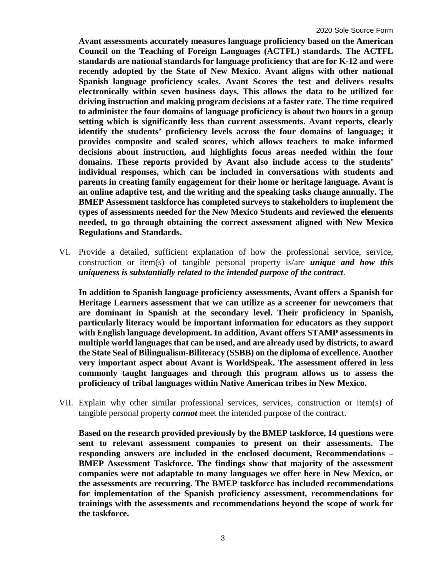**Avant assessments accurately measures language proficiency based on the American Council on the Teaching of Foreign Languages (ACTFL) standards. The ACTFL standards are national standards for language proficiency that are for K-12 and were recently adopted by the State of New Mexico. Avant aligns with other national Spanish language proficiency scales. Avant Scores the test and delivers results electronically within seven business days. This allows the data to be utilized for driving instruction and making program decisions at a faster rate. The time required to administer the four domains of language proficiency is about two hours in a group setting which is significantly less than current assessments. Avant reports, clearly identify the students' proficiency levels across the four domains of language; it provides composite and scaled scores, which allows teachers to make informed decisions about instruction, and highlights focus areas needed within the four domains. These reports provided by Avant also include access to the students' individual responses, which can be included in conversations with students and parents in creating family engagement for their home or heritage language. Avant is an online adaptive test, and the writing and the speaking tasks change annually. The BMEP Assessment taskforce has completed surveys to stakeholders to implement the types of assessments needed for the New Mexico Students and reviewed the elements needed, to go through obtaining the correct assessment aligned with New Mexico Regulations and Standards.**

VI. Provide a detailed, sufficient explanation of how the professional service, service, construction or item(s) of tangible personal property is/are *unique and how this uniqueness is substantially related to the intended purpose of the contract*.

**In addition to Spanish language proficiency assessments, Avant offers a Spanish for Heritage Learners assessment that we can utilize as a screener for newcomers that are dominant in Spanish at the secondary level. Their proficiency in Spanish, particularly literacy would be important information for educators as they support with English language development. In addition, Avant offers STAMP assessments in multiple world languages that can be used, and are already used by districts, to award the State Seal of Bilingualism-Biliteracy (SSBB) on the diploma of excellence. Another very important aspect about Avant is WorldSpeak. The assessment offered in less commonly taught languages and through this program allows us to assess the proficiency of tribal languages within Native American tribes in New Mexico.** 

VII. Explain why other similar professional services, services, construction or item(s) of tangible personal property *cannot* meet the intended purpose of the contract.

**Based on the research provided previously by the BMEP taskforce, 14 questions were sent to relevant assessment companies to present on their assessments. The responding answers are included in the enclosed document, Recommendations – BMEP Assessment Taskforce. The findings show that majority of the assessment companies were not adaptable to many languages we offer here in New Mexico, or the assessments are recurring. The BMEP taskforce has included recommendations for implementation of the Spanish proficiency assessment, recommendations for trainings with the assessments and recommendations beyond the scope of work for the taskforce.**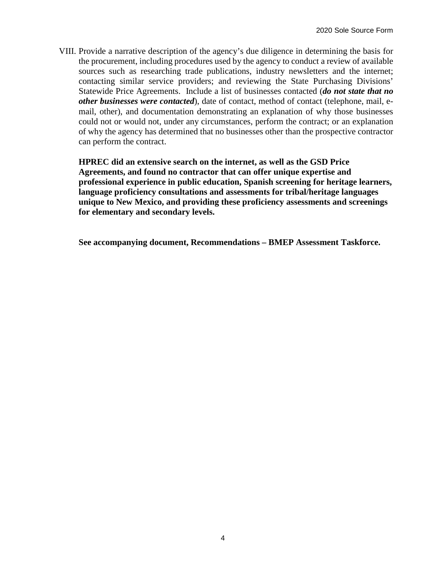VIII. Provide a narrative description of the agency's due diligence in determining the basis for the procurement, including procedures used by the agency to conduct a review of available sources such as researching trade publications, industry newsletters and the internet; contacting similar service providers; and reviewing the State Purchasing Divisions' Statewide Price Agreements. Include a list of businesses contacted (*do not state that no other businesses were contacted*), date of contact, method of contact (telephone, mail, email, other), and documentation demonstrating an explanation of why those businesses could not or would not, under any circumstances, perform the contract; or an explanation of why the agency has determined that no businesses other than the prospective contractor can perform the contract.

**HPREC did an extensive search on the internet, as well as the GSD Price Agreements, and found no contractor that can offer unique expertise and professional experience in public education, Spanish screening for heritage learners, language proficiency consultations and assessments for tribal/heritage languages unique to New Mexico, and providing these proficiency assessments and screenings for elementary and secondary levels.** 

**See accompanying document, Recommendations – BMEP Assessment Taskforce.**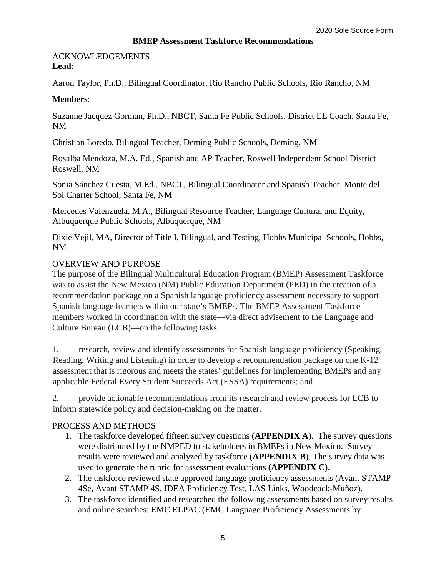#### **BMEP Assessment Taskforce Recommendations**

**Lead**: ACKNOWLEDGEMENTS

Aaron Taylor, Ph.D., Bilingual Coordinator, Rio Rancho Public Schools, Rio Rancho, NM

## **Members**:

Suzanne Jacquez Gorman, Ph.D., NBCT, Santa Fe Public Schools, District EL Coach, Santa Fe, NM

Christian Loredo, Bilingual Teacher, Deming Public Schools, Deming, NM

Rosalba Mendoza, M.A. Ed., Spanish and AP Teacher, Roswell Independent School District Roswell, NM

Sonia Sánchez Cuesta, M.Ed., NBCT, Bilingual Coordinator and Spanish Teacher, Monte del Sol Charter School, Santa Fe, NM

Mercedes Valenzuela, M.A., Bilingual Resource Teacher, Language Cultural and Equity, Albuquerque Public Schools, Albuquerque, NM

Dixie Vejil, MA, Director of Title I, Bilingual, and Testing, Hobbs Municipal Schools, Hobbs, NM

## OVERVIEW AND PURPOSE

The purpose of the Bilingual Multicultural Education Program (BMEP) Assessment Taskforce was to assist the New Mexico (NM) Public Education Department (PED) in the creation of a recommendation package on a Spanish language proficiency assessment necessary to support Spanish language learners within our state's BMEPs. The BMEP Assessment Taskforce members worked in coordination with the state—via direct advisement to the Language and Culture Bureau (LCB)—on the following tasks:

1. research, review and identify assessments for Spanish language proficiency (Speaking, Reading, Writing and Listening) in order to develop a recommendation package on one K-12 assessment that is rigorous and meets the states' guidelines for implementing BMEPs and any applicable Federal Every Student Succeeds Act (ESSA) requirements; and

2. provide actionable recommendations from its research and review process for LCB to inform statewide policy and decision-making on the matter.

## PROCESS AND METHODS

- 1. The taskforce developed fifteen survey questions (**APPENDIX A**). The survey questions were distributed by the NMPED to stakeholders in BMEPs in New Mexico. Survey results were reviewed and analyzed by taskforce (**APPENDIX B**). The survey data was used to generate the rubric for assessment evaluations (**APPENDIX C**).
- 2. The taskforce reviewed state approved language proficiency assessments (Avant STAMP 4Se, Avant STAMP 4S, IDEA Proficiency Test, LAS Links, Woodcock-Muñoz).
- 3. The taskforce identified and researched the following assessments based on survey results and online searches: EMC ELPAC (EMC Language Proficiency Assessments by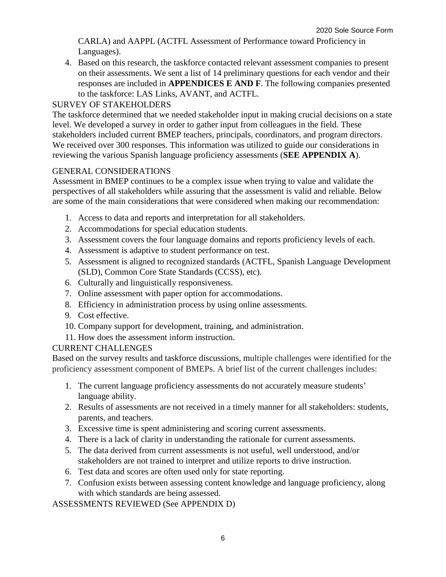CARLA) and AAPPL (ACTFL Assessment of Performance toward Proficiency in Languages).

4. Based on this research, the taskforce contacted relevant assessment companies to present on their assessments. We sent a list of 14 preliminary questions for each vendor and their responses are included in **APPENDICES E AND F**. The following companies presented to the taskforce: LAS Links, AVANT, and ACTFL.

## SURVEY OF STAKEHOLDERS

The taskforce determined that we needed stakeholder input in making crucial decisions on a state level. We developed a survey in order to gather input from colleagues in the field. These stakeholders included current BMEP teachers, principals, coordinators, and program directors. We received over 300 responses. This information was utilized to guide our considerations in reviewing the various Spanish language proficiency assessments (**SEE APPENDIX A**).

### GENERAL CONSIDERATIONS

Assessment in BMEP continues to be a complex issue when trying to value and validate the perspectives of all stakeholders while assuring that the assessment is valid and reliable. Below are some of the main considerations that were considered when making our recommendation:

- 1. Access to data and reports and interpretation for all stakeholders.
- 2. Accommodations for special education students.
- 3. Assessment covers the four language domains and reports proficiency levels of each.
- 4. Assessment is adaptive to student performance on test.
- 5. Assessment is aligned to recognized standards (ACTFL, Spanish Language Development (SLD), Common Core State Standards (CCSS), etc).
- 6. Culturally and linguistically responsiveness.
- 7. Online assessment with paper option for accommodations.
- 8. Efficiency in administration process by using online assessments.
- 9. Cost effective.
- 10. Company support for development, training, and administration.
- 11. How does the assessment inform instruction.

### CURRENT CHALLENGES

Based on the survey results and taskforce discussions, multiple challenges were identified for the proficiency assessment component of BMEPs. A brief list of the current challenges includes:

- 1. The current language proficiency assessments do not accurately measure students' language ability.
- 2. Results of assessments are not received in a timely manner for all stakeholders: students, parents, and teachers.
- 3. Excessive time is spent administering and scoring current assessments.
- 4. There is a lack of clarity in understanding the rationale for current assessments.
- 5. The data derived from current assessments is not useful, well understood, and/or stakeholders are not trained to interpret and utilize reports to drive instruction.
- 6. Test data and scores are often used only for state reporting.
- 7. Confusion exists between assessing content knowledge and language proficiency, along with which standards are being assessed.

### ASSESSMENTS REVIEWED (See APPENDIX D)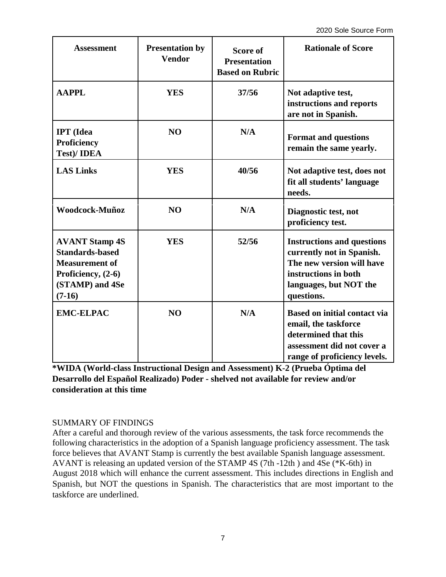| <b>Assessment</b>                                                                                                             | <b>Presentation by</b><br><b>Vendor</b> | <b>Score of</b><br><b>Presentation</b><br><b>Based on Rubric</b> | <b>Rationale of Score</b>                                                                                                                                   |
|-------------------------------------------------------------------------------------------------------------------------------|-----------------------------------------|------------------------------------------------------------------|-------------------------------------------------------------------------------------------------------------------------------------------------------------|
| <b>AAPPL</b>                                                                                                                  | <b>YES</b>                              | 37/56                                                            | Not adaptive test,<br>instructions and reports<br>are not in Spanish.                                                                                       |
| <b>IPT</b> (Idea<br><b>Proficiency</b><br><b>Test)/IDEA</b>                                                                   | N <sub>O</sub>                          | N/A                                                              | <b>Format and questions</b><br>remain the same yearly.                                                                                                      |
| <b>LAS Links</b>                                                                                                              | <b>YES</b>                              | 40/56                                                            | Not adaptive test, does not<br>fit all students' language<br>needs.                                                                                         |
| Woodcock-Muñoz                                                                                                                | N <sub>O</sub>                          | N/A                                                              | Diagnostic test, not<br>proficiency test.                                                                                                                   |
| <b>AVANT Stamp 4S</b><br><b>Standards-based</b><br><b>Measurement of</b><br>Proficiency, (2-6)<br>(STAMP) and 4Se<br>$(7-16)$ | <b>YES</b>                              | 52/56                                                            | <b>Instructions and questions</b><br>currently not in Spanish.<br>The new version will have<br>instructions in both<br>languages, but NOT the<br>questions. |
| <b>EMC-ELPAC</b>                                                                                                              | N <sub>O</sub>                          | N/A                                                              | <b>Based on initial contact via</b><br>email, the taskforce<br>determined that this<br>assessment did not cover a<br>range of proficiency levels.           |

**\*WIDA (World-class Instructional Design and Assessment) K-2 (Prueba Óptima del Desarrollo del Español Realizado) Poder - shelved not available for review and/or consideration at this time** 

### SUMMARY OF FINDINGS

After a careful and thorough review of the various assessments, the task force recommends the following characteristics in the adoption of a Spanish language proficiency assessment. The task force believes that AVANT Stamp is currently the best available Spanish language assessment. AVANT is releasing an updated version of the STAMP 4S (7th -12th ) and 4Se (\*K-6th) in August 2018 which will enhance the current assessment. This includes directions in English and Spanish, but NOT the questions in Spanish. The characteristics that are most important to the taskforce are underlined.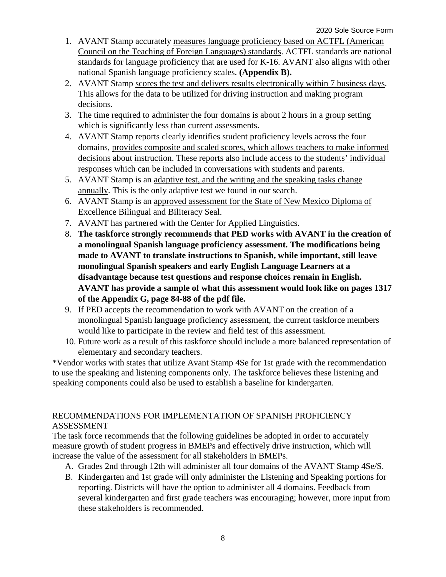- 1. AVANT Stamp accurately measures language proficiency based on ACTFL (American Council on the Teaching of Foreign Languages) standards. ACTFL standards are national standards for language proficiency that are used for K-16. AVANT also aligns with other national Spanish language proficiency scales. **(Appendix B).**
- 2. AVANT Stamp scores the test and delivers results electronically within 7 business days. This allows for the data to be utilized for driving instruction and making program decisions.
- 3. The time required to administer the four domains is about 2 hours in a group setting which is significantly less than current assessments.
- 4. AVANT Stamp reports clearly identifies student proficiency levels across the four domains, provides composite and scaled scores, which allows teachers to make informed decisions about instruction. These reports also include access to the students' individual responses which can be included in conversations with students and parents.
- 5. AVANT Stamp is an adaptive test, and the writing and the speaking tasks change annually. This is the only adaptive test we found in our search.
- 6. AVANT Stamp is an approved assessment for the State of New Mexico Diploma of Excellence Bilingual and Biliteracy Seal.
- 7. AVANT has partnered with the Center for Applied Linguistics.
- 8. **The taskforce strongly recommends that PED works with AVANT in the creation of a monolingual Spanish language proficiency assessment. The modifications being made to AVANT to translate instructions to Spanish, while important, still leave monolingual Spanish speakers and early English Language Learners at a disadvantage because test questions and response choices remain in English. AVANT has provide a sample of what this assessment would look like on pages 1317 of the Appendix G, page 84-88 of the pdf file.**
- 9. If PED accepts the recommendation to work with AVANT on the creation of a monolingual Spanish language proficiency assessment, the current taskforce members would like to participate in the review and field test of this assessment.
- 10. Future work as a result of this taskforce should include a more balanced representation of elementary and secondary teachers.

\*Vendor works with states that utilize Avant Stamp 4Se for 1st grade with the recommendation to use the speaking and listening components only. The taskforce believes these listening and speaking components could also be used to establish a baseline for kindergarten.

# RECOMMENDATIONS FOR IMPLEMENTATION OF SPANISH PROFICIENCY ASSESSMENT

The task force recommends that the following guidelines be adopted in order to accurately measure growth of student progress in BMEPs and effectively drive instruction, which will increase the value of the assessment for all stakeholders in BMEPs.

- A. Grades 2nd through 12th will administer all four domains of the AVANT Stamp 4Se/S.
- B. Kindergarten and 1st grade will only administer the Listening and Speaking portions for reporting. Districts will have the option to administer all 4 domains. Feedback from several kindergarten and first grade teachers was encouraging; however, more input from these stakeholders is recommended.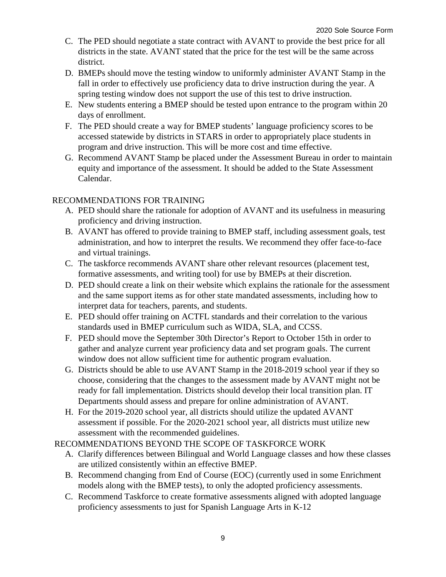- C. The PED should negotiate a state contract with AVANT to provide the best price for all districts in the state. AVANT stated that the price for the test will be the same across district.
- D. BMEPs should move the testing window to uniformly administer AVANT Stamp in the fall in order to effectively use proficiency data to drive instruction during the year. A spring testing window does not support the use of this test to drive instruction.
- E. New students entering a BMEP should be tested upon entrance to the program within 20 days of enrollment.
- F. The PED should create a way for BMEP students' language proficiency scores to be accessed statewide by districts in STARS in order to appropriately place students in program and drive instruction. This will be more cost and time effective.
- G. Recommend AVANT Stamp be placed under the Assessment Bureau in order to maintain equity and importance of the assessment. It should be added to the State Assessment Calendar.

## RECOMMENDATIONS FOR TRAINING

- A. PED should share the rationale for adoption of AVANT and its usefulness in measuring proficiency and driving instruction.
- B. AVANT has offered to provide training to BMEP staff, including assessment goals, test administration, and how to interpret the results. We recommend they offer face-to-face and virtual trainings.
- C. The taskforce recommends AVANT share other relevant resources (placement test, formative assessments, and writing tool) for use by BMEPs at their discretion.
- D. PED should create a link on their website which explains the rationale for the assessment and the same support items as for other state mandated assessments, including how to interpret data for teachers, parents, and students.
- E. PED should offer training on ACTFL standards and their correlation to the various standards used in BMEP curriculum such as WIDA, SLA, and CCSS.
- F. PED should move the September 30th Director's Report to October 15th in order to gather and analyze current year proficiency data and set program goals. The current window does not allow sufficient time for authentic program evaluation.
- G. Districts should be able to use AVANT Stamp in the 2018-2019 school year if they so choose, considering that the changes to the assessment made by AVANT might not be ready for fall implementation. Districts should develop their local transition plan. IT Departments should assess and prepare for online administration of AVANT.
- H. For the 2019-2020 school year, all districts should utilize the updated AVANT assessment if possible. For the 2020-2021 school year, all districts must utilize new assessment with the recommended guidelines.

### RECOMMENDATIONS BEYOND THE SCOPE OF TASKFORCE WORK

- A. Clarify differences between Bilingual and World Language classes and how these classes are utilized consistently within an effective BMEP.
- B. Recommend changing from End of Course (EOC) (currently used in some Enrichment models along with the BMEP tests), to only the adopted proficiency assessments.
- C. Recommend Taskforce to create formative assessments aligned with adopted language proficiency assessments to just for Spanish Language Arts in K-12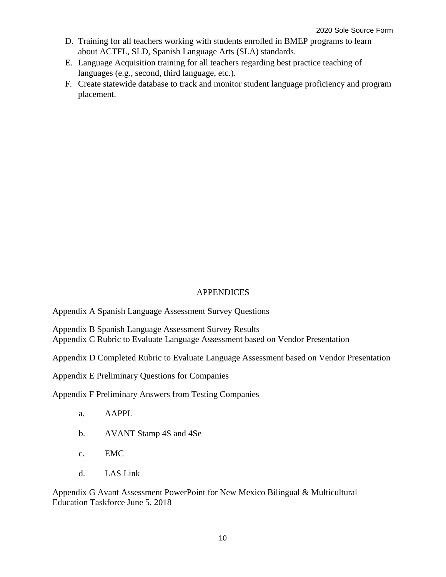- D. Training for all teachers working with students enrolled in BMEP programs to learn about ACTFL, SLD, Spanish Language Arts (SLA) standards.
- E. Language Acquisition training for all teachers regarding best practice teaching of languages (e.g., second, third language, etc.).
- F. Create statewide database to track and monitor student language proficiency and program placement.

### **APPENDICES**

Appendix A Spanish Language Assessment Survey Questions

Appendix B Spanish Language Assessment Survey Results Appendix C Rubric to Evaluate Language Assessment based on Vendor Presentation

Appendix D Completed Rubric to Evaluate Language Assessment based on Vendor Presentation

Appendix E Preliminary Questions for Companies

Appendix F Preliminary Answers from Testing Companies

- a. AAPPL
- b. AVANT Stamp 4S and 4Se
- c. EMC
- d. LAS Link

Appendix G Avant Assessment PowerPoint for New Mexico Bilingual & Multicultural Education Taskforce June 5, 2018